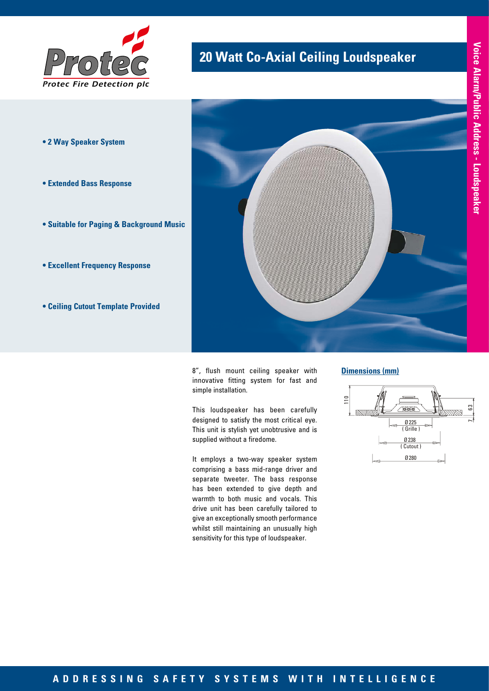

- **2 Way Speaker System**
- **Extended Bass Response**
- **Suitable for Paging & Background Music**
- **Excellent Frequency Response**
- **Ceiling Cutout Template Provided**



**20 Watt Co-Axial Ceiling Loudspeaker** 

8", flush mount ceiling speaker with innovative fitting system for fast and simple installation.

This loudspeaker has been carefully designed to satisfy the most critical eye. This unit is stylish yet unobtrusive and is supplied without a firedome.

It employs a two-way speaker system comprising a bass mid-range driver and separate tweeter. The bass response has been extended to give depth and warmth to both music and vocals. This drive unit has been carefully tailored to give an exceptionally smooth performance whilst still maintaining an unusually high sensitivity for this type of loudspeaker.

#### **Dimensions (mm)**